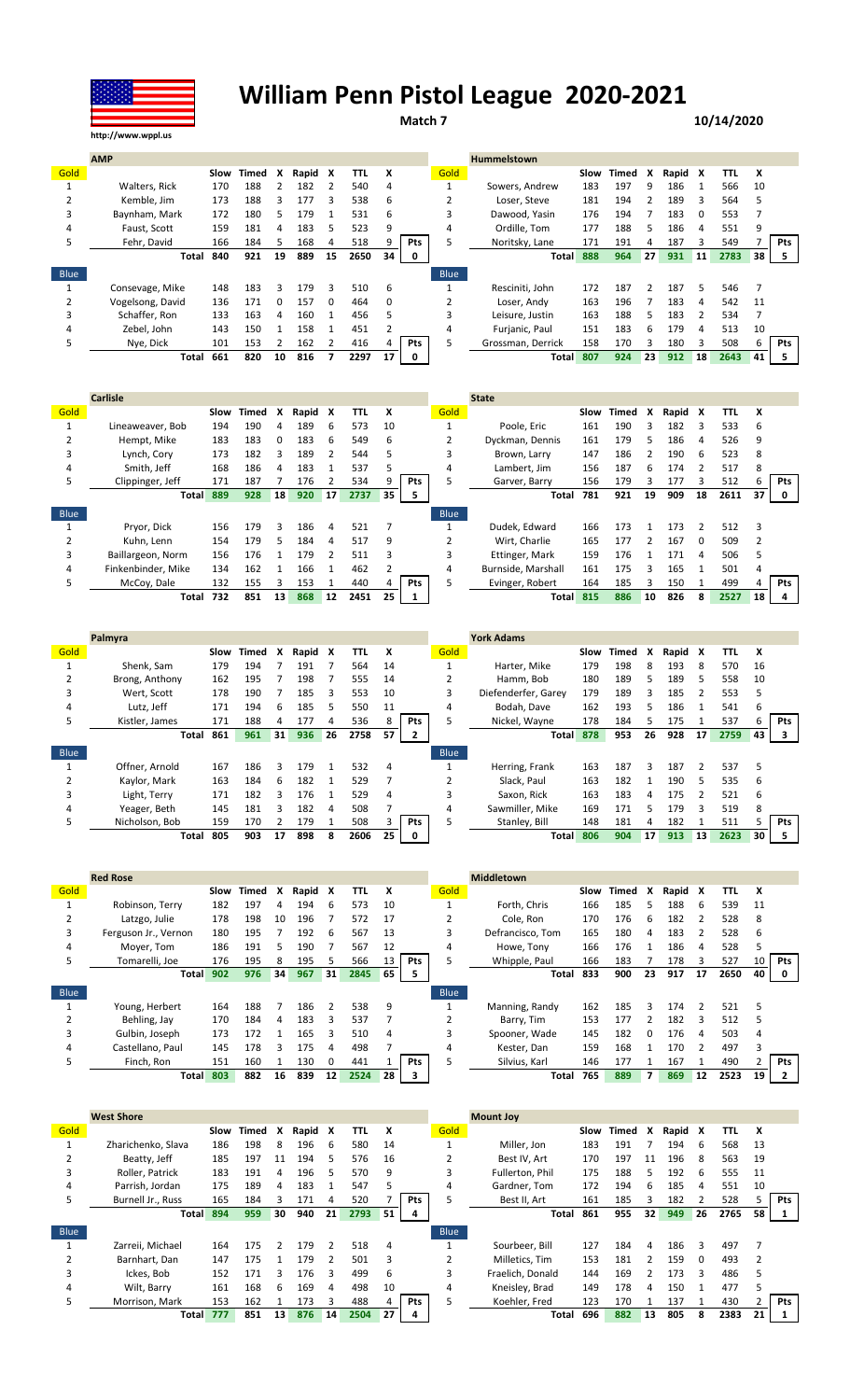

## **William Penn Pistol League 2020-2021**

**Match 7 10/14/2020**

|             | <b>AMP</b>       |      |       |              |       |              |      |    |            |             | <b>Hummelstown</b> |      |       |    |         |    |      |    |     |
|-------------|------------------|------|-------|--------------|-------|--------------|------|----|------------|-------------|--------------------|------|-------|----|---------|----|------|----|-----|
| Gold        |                  | Slow | Timed | x            | Rapid | X            | TTL  | X  |            | Gold        |                    | Slow | Timed | X  | Rapid X |    | TTL  | X  |     |
|             | Walters, Rick    | 170  | 188   |              | 182   |              | 540  | 4  |            |             | Sowers, Andrew     | 183  | 197   | q  | 186     |    | 566  | 10 |     |
|             | Kemble, Jim      | 173  | 188   | 3            | 177   | 3            | 538  | 6  |            |             | Loser, Steve       | 181  | 194   |    | 189     | 3  | 564  | 5  |     |
| 3           | Baynham, Mark    | 172  | 180   | 5.           | 179   |              | 531  | 6  |            |             | Dawood, Yasin      | 176  | 194   |    | 183     | 0  | 553  |    |     |
| 4           | Faust, Scott     | 159  | 181   | 4            | 183   | 5            | 523  | 9  |            | 4           | Ordille. Tom       | 177  | 188   | 5  | 186     | 4  | 551  | 9  |     |
| 5           | Fehr, David      | 166  | 184   | 5            | 168   |              | 518  |    | <b>Pts</b> |             | Noritsky, Lane     | 171  | 191   |    | 187     |    | 549  |    | Pts |
|             | Total            | 840  | 921   | 19           | 889   | 15           | 2650 | 34 | 0          |             | <b>Total</b>       | 888  | 964   | 27 | 931     | 11 | 2783 | 38 | 5.  |
| <b>Blue</b> |                  |      |       |              |       |              |      |    |            | <b>Blue</b> |                    |      |       |    |         |    |      |    |     |
|             | Consevage, Mike  | 148  | 183   | 3            | 179   | 3            | 510  | 6  |            |             | Resciniti, John    | 172  | 187   |    | 187     | 5  | 546  |    |     |
|             | Vogelsong, David | 136  | 171   | <sup>0</sup> | 157   | <sup>0</sup> | 464  | 0  |            |             | Loser. Andy        | 163  | 196   |    | 183     | 4  | 542  | 11 |     |
|             | Schaffer, Ron    | 133  | 163   | Δ            | 160   |              | 456  | 5  |            |             | Leisure, Justin    | 163  | 188   |    | 183     |    | 534  |    |     |
| 4           | Zebel. John      | 143  | 150   |              | 158   |              | 451  |    |            | 4           | Furjanic, Paul     | 151  | 183   | 6. | 179     | 4  | 513  | 10 |     |
| 5           | Nye, Dick        | 101  | 153   |              | 162   |              | 416  |    | Pts        | 5.          | Grossman, Derrick  | 158  | 170   |    | 180     |    | 508  | 6  | Pts |
|             | Total            | 661  | 820   | 10           | 816   |              | 2297 | 17 |            |             | <b>Total</b>       | 807  | 924   | 23 | 912     | 18 | 2643 | 41 |     |

|             | <b>Carlisle</b>    |      |       |    |       |    |      |    |            |             | <b>State</b>       |      |       |    |       |          |      |    |            |
|-------------|--------------------|------|-------|----|-------|----|------|----|------------|-------------|--------------------|------|-------|----|-------|----------|------|----|------------|
| Gold        |                    | Slow | Timed | X  | Rapid | X  | TTL  | X  |            | Gold        |                    | Slow | Timed | x  | Rapid | x        | TΤL  | x  |            |
|             | Lineaweaver, Bob   | 194  | 190   | 4  | 189   | 6  | 573  | 10 |            |             | Poole, Eric        | 161  | 190   | 3  | 182   |          | 533  | b  |            |
|             | Hempt, Mike        | 183  | 183   | 0  | 183   | 6  | 549  | 6  |            |             | Dyckman, Dennis    | 161  | 179   | 5. | 186   | 4        | 526  | 9  |            |
| 3           | Lynch, Cory        | 173  | 182   |    | 189   |    | 544  | 5  |            | 3           | Brown, Larry       | 147  | 186   |    | 190   | 6        | 523  | 8  |            |
| 4           | Smith. Jeff        | 168  | 186   | 4  | 183   |    | 537  | 5  |            | 4           | Lambert. Jim       | 156  | 187   | 6  | 174   |          | 517  | 8  |            |
| 5           | Clippinger, Jeff   | 171  | 187   |    | 176   |    | 534  | 9  | <b>Pts</b> | 5.          | Garver, Barry      | 156  | 179   | 3  | 177   | 3        | 512  | ь  | Pts        |
|             | <b>Total</b>       | 889  | 928   | 18 | 920   | 17 | 2737 | 35 | 5          |             | Total              | 781  | 921   | 19 | 909   | 18       | 2611 | 37 | 0          |
| <b>Blue</b> |                    |      |       |    |       |    |      |    |            | <b>Blue</b> |                    |      |       |    |       |          |      |    |            |
|             | Pryor, Dick        | 156  | 179   | 3  | 186   | 4  | 521  |    |            |             | Dudek, Edward      | 166  | 173   |    | 173   | 2        | 512  |    |            |
|             | Kuhn. Lenn         | 154  | 179   | 5  | 184   | 4  | 517  | 9  |            |             | Wirt. Charlie      | 165  | 177   |    | 167   | $\Omega$ | 509  |    |            |
| 3           | Baillargeon, Norm  | 156  | 176   |    | 179   | ำ  | 511  | 3  |            | 3           | Ettinger, Mark     | 159  | 176   |    | 171   | 4        | 506  |    |            |
| 4           | Finkenbinder, Mike | 134  | 162   |    | 166   |    | 462  |    |            | 4           | Burnside, Marshall | 161  | 175   | 3  | 165   |          | 501  |    |            |
| 5           | McCoy, Dale        | 132  | 155   | 3  | 153   |    | 440  |    | <b>Pts</b> | 5           | Evinger, Robert    | 164  | 185   | 3  | 150   |          | 499  | 4  | <b>Pts</b> |
|             | Total              | 732  | 851   | 13 | 868   | 12 | 2451 | 25 |            |             | <b>Total</b>       | 815  | 886   | 10 | 826   | 8        | 2527 | 18 |            |

|             | Palmyra        |      |       |    |       |    |      |    |     |             | <b>York Adams</b>   |      |       |    |         |    |      |    |            |
|-------------|----------------|------|-------|----|-------|----|------|----|-----|-------------|---------------------|------|-------|----|---------|----|------|----|------------|
| Gold        |                | Slow | Timed | x  | Rapid | x  | TTL  | X  |     | Gold        |                     | Slow | Timed | x  | Rapid X |    | TTL  | x  |            |
|             | Shenk, Sam     | 179  | 194   |    | 191   |    | 564  | 14 |     |             | Harter, Mike        | 179  | 198   | 8  | 193     | 8  | 570  | 16 |            |
|             | Brong, Anthony | 162  | 195   |    | 198   |    | 555  | 14 |     |             | Hamm, Bob           | 180  | 189   |    | 189     | 5  | 558  | 10 |            |
| 3           | Wert, Scott    | 178  | 190   |    | 185   | 3  | 553  | 10 |     | 3           | Diefenderfer, Garey | 179  | 189   | 3  | 185     |    | 553  | 5  |            |
| 4           | Lutz. Jeff     | 171  | 194   | 6  | 185   | 5  | 550  | 11 |     | 4           | Bodah, Dave         | 162  | 193   |    | 186     |    | 541  | 6  |            |
| 5           | Kistler, James | 171  | 188   | 4  | 177   | 4  | 536  |    | Pts |             | Nickel, Wayne       | 178  | 184   |    | 175     |    | 537  | 6  | <b>Pts</b> |
|             | Total          | 861  | 961   | 31 | 936   | 26 | 2758 | 57 | 2   |             | <b>Total</b>        | 878  | 953   | 26 | 928     | 17 | 2759 | 43 | 3          |
|             |                |      |       |    |       |    |      |    |     |             |                     |      |       |    |         |    |      |    |            |
| <b>Blue</b> |                |      |       |    |       |    |      |    |     | <b>Blue</b> |                     |      |       |    |         |    |      |    |            |
|             | Offner, Arnold | 167  | 186   | 3  | 179   |    | 532  | 4  |     |             | Herring, Frank      | 163  | 187   | ₹  | 187     |    | 537  | 5  |            |
|             | Kaylor, Mark   | 163  | 184   | 6  | 182   |    | 529  |    |     |             | Slack, Paul         | 163  | 182   |    | 190     | 5  | 535  | 6  |            |
| 3           | Light, Terry   | 171  | 182   | 3  | 176   |    | 529  | 4  |     |             | Saxon, Rick         | 163  | 183   | 4  | 175     |    | 521  | 6  |            |
| 4           | Yeager, Beth   | 145  | 181   |    | 182   | 4  | 508  |    |     | 4           | Sawmiller, Mike     | 169  | 171   |    | 179     |    | 519  | 8  |            |
| 5.          | Nicholson, Bob | 159  | 170   |    | 179   |    | 508  |    | Pts |             | Stanley, Bill       | 148  | 181   | Δ. | 182     |    | 511  |    | Pts        |

|      | <b>Red Rose</b>      |      |       |    |       |    |      |    |     |             | <b>Middletown</b> |      |       |    |         |               |      |    |            |
|------|----------------------|------|-------|----|-------|----|------|----|-----|-------------|-------------------|------|-------|----|---------|---------------|------|----|------------|
| Gold |                      | Slow | Timed | x  | Rapid | x  | TTL  | x  |     | Gold        |                   | Slow | Timed | x  | Rapid X |               | TTL  | x  |            |
|      | Robinson, Terry      | 182  | 197   |    | 194   | 6  | 573  | 10 |     |             | Forth. Chris      | 166  | 185   |    | 188     | 6             | 539  | 11 |            |
|      | Latzgo, Julie        | 178  | 198   | 10 | 196   |    | 572  | 17 |     |             | Cole, Ron         | 170  | 176   | b  | 182     |               | 528  | 8  |            |
| 3    | Ferguson Jr., Vernon | 180  | 195   |    | 192   | 6  | 567  | 13 |     |             | Defrancisco. Tom  | 165  | 180   | 4  | 183     |               | 528  | 6  |            |
| 4    | Moyer, Tom           | 186  | 191   |    | 190   |    | 567  | 12 |     | 4           | Howe, Tony        | 166  | 176   |    | 186     | 4             | 528  |    |            |
| 5    | Tomarelli. Joe       | 176  | 195   | 8  | 195   | ь  | 566  | 13 | Pts |             | Whipple, Paul     | 166  | 183   |    | 178     | 3             | 527  | 10 | <b>Pts</b> |
|      | <b>Total</b>         | 902  | 976   | 34 | 967   | 31 | 2845 | 65 | 5   |             | Total             | 833  | 900   | 23 | 917     | 17            | 2650 | 40 |            |
| Blue |                      |      |       |    |       |    |      |    |     | <b>Blue</b> |                   |      |       |    |         |               |      |    |            |
|      | Young, Herbert       | 164  | 188   |    | 186   |    | 538  | 9  |     |             | Manning, Randy    | 162  | 185   | ર  | 174     | $\mathcal{P}$ | 521  | .5 |            |
|      | Behling, Jay         | 170  | 184   | 4  | 183   | 3  | 537  |    |     |             | Barry, Tim        | 153  | 177   |    | 182     | 3             | 512  |    |            |
| 3    | Gulbin, Joseph       | 173  | 172   |    | 165   | 3  | 510  | 4  |     | 3           | Spooner, Wade     | 145  | 182   |    | 176     | 4             | 503  | 4  |            |
| 4    | Castellano. Paul     | 145  | 178   |    | 175   | 4  | 498  |    |     | 4           | Kester, Dan       | 159  | 168   |    | 170     |               | 497  |    |            |
|      | Finch, Ron           | 151  | 160   |    | 130   | 0  | 441  |    | Pts |             | Silvius, Karl     | 146  | 177   |    | 167     |               | 490  |    | <b>Pts</b> |
|      | <b>Total</b>         | 803  | 882   | 16 | 839   | 12 | 2524 | 28 | 3   |             | Total             | 765  | 889   |    | 869     | 12            | 2523 | 19 |            |

|             | <b>West Shore</b>  |      |       |    |         |               |      |    |            |             | <b>Mount Joy</b> |      |       |    |         |    |      |    |            |
|-------------|--------------------|------|-------|----|---------|---------------|------|----|------------|-------------|------------------|------|-------|----|---------|----|------|----|------------|
| Gold        |                    | Slow | Timed | X  | Rapid X |               | TTL  | x  |            | Gold        |                  | Slow | Timed | x  | Rapid X |    | TTL  | x  |            |
|             | Zharichenko, Slava | 186  | 198   | 8  | 196     | -6            | 580  | 14 |            |             | Miller. Jon      | 183  | 191   |    | 194     | -6 | 568  | 13 |            |
|             | Beatty, Jeff       | 185  | 197   | 11 | 194     | 5             | 576  | 16 |            |             | Best IV. Art     | 170  | 197   | 11 | 196     | 8  | 563  | 19 |            |
|             | Roller, Patrick    | 183  | 191   | 4  | 196     | 5             | 570  | 9  |            | 3           | Fullerton, Phil  | 175  | 188   | 5. | 192     | 6  | 555  | 11 |            |
| 4           | Parrish, Jordan    | 175  | 189   | 4  | 183     |               | 547  | 5  |            | 4           | Gardner, Tom     | 172  | 194   | 6. | 185     | 4  | 551  | 10 |            |
| 5           | Burnell Jr., Russ  | 165  | 184   |    | 171     | 4             | 520  |    | <b>Pts</b> | 5           | Best II, Art     | 161  | 185   |    | 182     |    | 528  |    | <b>Pts</b> |
|             | <b>Total</b>       | 894  | 959   | 30 | 940     | 21            | 2793 | 51 | 4          |             | Total            | 861  | 955   | 32 | 949     | 26 | 2765 | 58 |            |
| <b>Blue</b> |                    |      |       |    |         |               |      |    |            | <b>Blue</b> |                  |      |       |    |         |    |      |    |            |
|             | Zarreii. Michael   | 164  | 175   |    | 179     | $\mathcal{P}$ | 518  | 4  |            |             | Sourbeer, Bill   | 127  | 184   | 4  | 186     | 3  | 497  |    |            |
|             | Barnhart, Dan      | 147  | 175   |    | 179     |               | 501  | 3  |            |             | Milletics. Tim   | 153  | 181   |    | 159     | 0  | 493  |    |            |
|             | Ickes. Bob         | 152  | 171   | ₹  | 176     | 3             | 499  | 6  |            | 3           | Fraelich, Donald | 144  | 169   |    | 173     | ર  | 486  |    |            |
|             | Wilt. Barry        | 161  | 168   | h  | 169     | 4             | 498  | 10 |            | 4           | Kneisley, Brad   | 149  | 178   | Δ. | 150     |    | 477  |    |            |
|             | Morrison, Mark     | 153  | 162   |    | 173     | 3             | 488  | 4  | Pts        | 5           | Koehler, Fred    | 123  | 170   |    | 137     |    | 430  |    | Pts        |
|             |                    |      |       |    |         |               |      |    |            |             |                  |      |       |    |         |    |      |    |            |